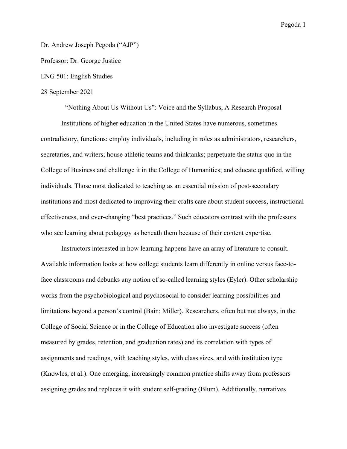Dr. Andrew Joseph Pegoda ("AJP")

Professor: Dr. George Justice

ENG 501: English Studies

## 28 September 2021

"Nothing About Us Without Us": Voice and the Syllabus, A Research Proposal Institutions of higher education in the United States have numerous, sometimes contradictory, functions: employ individuals, including in roles as administrators, researchers, secretaries, and writers; house athletic teams and thinktanks; perpetuate the status quo in the College of Business and challenge it in the College of Humanities; and educate qualified, willing individuals. Those most dedicated to teaching as an essential mission of post-secondary institutions and most dedicated to improving their crafts care about student success, instructional effectiveness, and ever-changing "best practices." Such educators contrast with the professors who see learning about pedagogy as beneath them because of their content expertise.

Instructors interested in how learning happens have an array of literature to consult. Available information looks at how college students learn differently in online versus face-toface classrooms and debunks any notion of so-called learning styles (Eyler). Other scholarship works from the psychobiological and psychosocial to consider learning possibilities and limitations beyond a person's control (Bain; Miller). Researchers, often but not always, in the College of Social Science or in the College of Education also investigate success (often measured by grades, retention, and graduation rates) and its correlation with types of assignments and readings, with teaching styles, with class sizes, and with institution type (Knowles, et al.). One emerging, increasingly common practice shifts away from professors assigning grades and replaces it with student self-grading (Blum). Additionally, narratives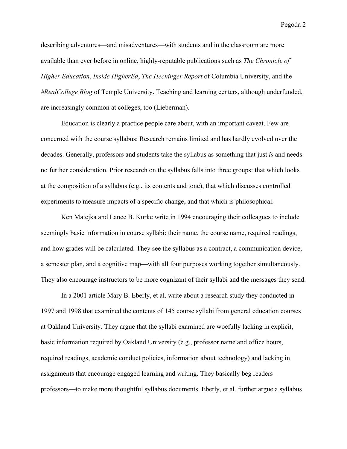describing adventures—and misadventures—with students and in the classroom are more available than ever before in online, highly-reputable publications such as *The Chronicle of Higher Education*, *Inside HigherEd*, *The Hechinger Report* of Columbia University, and the *#RealCollege Blog* of Temple University. Teaching and learning centers, although underfunded, are increasingly common at colleges, too (Lieberman).

Education is clearly a practice people care about, with an important caveat. Few are concerned with the course syllabus: Research remains limited and has hardly evolved over the decades. Generally, professors and students take the syllabus as something that just *is* and needs no further consideration. Prior research on the syllabus falls into three groups: that which looks at the composition of a syllabus (e.g., its contents and tone), that which discusses controlled experiments to measure impacts of a specific change, and that which is philosophical.

Ken Matejka and Lance B. Kurke write in 1994 encouraging their colleagues to include seemingly basic information in course syllabi: their name, the course name, required readings, and how grades will be calculated. They see the syllabus as a contract, a communication device, a semester plan, and a cognitive map—with all four purposes working together simultaneously. They also encourage instructors to be more cognizant of their syllabi and the messages they send.

In a 2001 article Mary B. Eberly, et al. write about a research study they conducted in 1997 and 1998 that examined the contents of 145 course syllabi from general education courses at Oakland University. They argue that the syllabi examined are woefully lacking in explicit, basic information required by Oakland University (e.g., professor name and office hours, required readings, academic conduct policies, information about technology) and lacking in assignments that encourage engaged learning and writing. They basically beg readers professors—to make more thoughtful syllabus documents. Eberly, et al. further argue a syllabus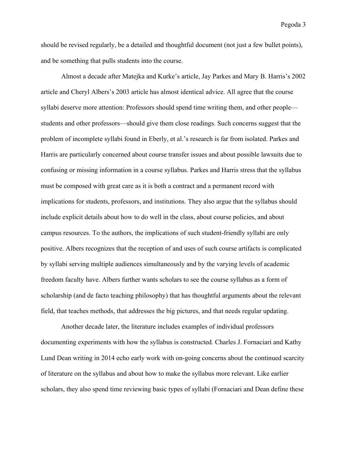should be revised regularly, be a detailed and thoughtful document (not just a few bullet points), and be something that pulls students into the course.

Almost a decade after Matejka and Kurke's article, Jay Parkes and Mary B. Harris's 2002 article and Cheryl Albers's 2003 article has almost identical advice. All agree that the course syllabi deserve more attention: Professors should spend time writing them, and other people students and other professors—should give them close readings. Such concerns suggest that the problem of incomplete syllabi found in Eberly, et al.'s research is far from isolated. Parkes and Harris are particularly concerned about course transfer issues and about possible lawsuits due to confusing or missing information in a course syllabus. Parkes and Harris stress that the syllabus must be composed with great care as it is both a contract and a permanent record with implications for students, professors, and institutions. They also argue that the syllabus should include explicit details about how to do well in the class, about course policies, and about campus resources. To the authors, the implications of such student-friendly syllabi are only positive. Albers recognizes that the reception of and uses of such course artifacts is complicated by syllabi serving multiple audiences simultaneously and by the varying levels of academic freedom faculty have. Albers further wants scholars to see the course syllabus as a form of scholarship (and de facto teaching philosophy) that has thoughtful arguments about the relevant field, that teaches methods, that addresses the big pictures, and that needs regular updating.

Another decade later, the literature includes examples of individual professors documenting experiments with how the syllabus is constructed. Charles J. Fornaciari and Kathy Lund Dean writing in 2014 echo early work with on-going concerns about the continued scarcity of literature on the syllabus and about how to make the syllabus more relevant. Like earlier scholars, they also spend time reviewing basic types of syllabi (Fornaciari and Dean define these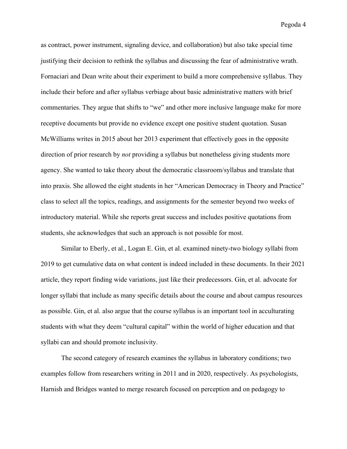as contract, power instrument, signaling device, and collaboration) but also take special time justifying their decision to rethink the syllabus and discussing the fear of administrative wrath. Fornaciari and Dean write about their experiment to build a more comprehensive syllabus. They include their before and after syllabus verbiage about basic administrative matters with brief commentaries. They argue that shifts to "we" and other more inclusive language make for more receptive documents but provide no evidence except one positive student quotation. Susan McWilliams writes in 2015 about her 2013 experiment that effectively goes in the opposite direction of prior research by *not* providing a syllabus but nonetheless giving students more agency. She wanted to take theory about the democratic classroom/syllabus and translate that into praxis. She allowed the eight students in her "American Democracy in Theory and Practice" class to select all the topics, readings, and assignments for the semester beyond two weeks of introductory material. While she reports great success and includes positive quotations from students, she acknowledges that such an approach is not possible for most.

Similar to Eberly, et al., Logan E. Gin, et al. examined ninety-two biology syllabi from 2019 to get cumulative data on what content is indeed included in these documents. In their 2021 article, they report finding wide variations, just like their predecessors. Gin, et al. advocate for longer syllabi that include as many specific details about the course and about campus resources as possible. Gin, et al. also argue that the course syllabus is an important tool in acculturating students with what they deem "cultural capital" within the world of higher education and that syllabi can and should promote inclusivity.

The second category of research examines the syllabus in laboratory conditions; two examples follow from researchers writing in 2011 and in 2020, respectively. As psychologists, Harnish and Bridges wanted to merge research focused on perception and on pedagogy to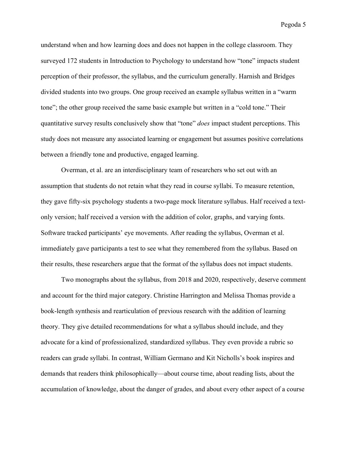understand when and how learning does and does not happen in the college classroom. They surveyed 172 students in Introduction to Psychology to understand how "tone" impacts student perception of their professor, the syllabus, and the curriculum generally. Harnish and Bridges divided students into two groups. One group received an example syllabus written in a "warm tone"; the other group received the same basic example but written in a "cold tone." Their quantitative survey results conclusively show that "tone" *does* impact student perceptions. This study does not measure any associated learning or engagement but assumes positive correlations between a friendly tone and productive, engaged learning.

Overman, et al. are an interdisciplinary team of researchers who set out with an assumption that students do not retain what they read in course syllabi. To measure retention, they gave fifty-six psychology students a two-page mock literature syllabus. Half received a textonly version; half received a version with the addition of color, graphs, and varying fonts. Software tracked participants' eye movements. After reading the syllabus, Overman et al. immediately gave participants a test to see what they remembered from the syllabus. Based on their results, these researchers argue that the format of the syllabus does not impact students.

Two monographs about the syllabus, from 2018 and 2020, respectively, deserve comment and account for the third major category. Christine Harrington and Melissa Thomas provide a book-length synthesis and rearticulation of previous research with the addition of learning theory. They give detailed recommendations for what a syllabus should include, and they advocate for a kind of professionalized, standardized syllabus. They even provide a rubric so readers can grade syllabi. In contrast, William Germano and Kit Nicholls's book inspires and demands that readers think philosophically—about course time, about reading lists, about the accumulation of knowledge, about the danger of grades, and about every other aspect of a course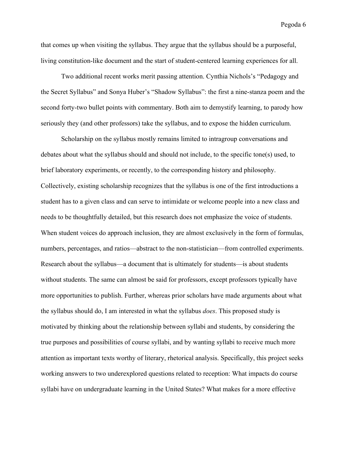that comes up when visiting the syllabus. They argue that the syllabus should be a purposeful, living constitution-like document and the start of student-centered learning experiences for all.

Two additional recent works merit passing attention. Cynthia Nichols's "Pedagogy and the Secret Syllabus" and Sonya Huber's "Shadow Syllabus": the first a nine-stanza poem and the second forty-two bullet points with commentary. Both aim to demystify learning, to parody how seriously they (and other professors) take the syllabus, and to expose the hidden curriculum.

Scholarship on the syllabus mostly remains limited to intragroup conversations and debates about what the syllabus should and should not include, to the specific tone(s) used, to brief laboratory experiments, or recently, to the corresponding history and philosophy. Collectively, existing scholarship recognizes that the syllabus is one of the first introductions a student has to a given class and can serve to intimidate or welcome people into a new class and needs to be thoughtfully detailed, but this research does not emphasize the voice of students. When student voices do approach inclusion, they are almost exclusively in the form of formulas, numbers, percentages, and ratios—abstract to the non-statistician—from controlled experiments. Research about the syllabus—a document that is ultimately for students—is about students without students. The same can almost be said for professors, except professors typically have more opportunities to publish. Further, whereas prior scholars have made arguments about what the syllabus should do, I am interested in what the syllabus *does*. This proposed study is motivated by thinking about the relationship between syllabi and students, by considering the true purposes and possibilities of course syllabi, and by wanting syllabi to receive much more attention as important texts worthy of literary, rhetorical analysis. Specifically, this project seeks working answers to two underexplored questions related to reception: What impacts do course syllabi have on undergraduate learning in the United States? What makes for a more effective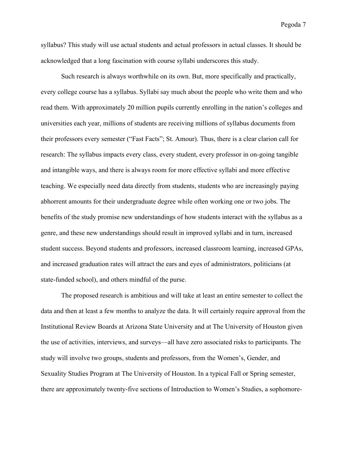syllabus? This study will use actual students and actual professors in actual classes. It should be acknowledged that a long fascination with course syllabi underscores this study.

Such research is always worthwhile on its own. But, more specifically and practically, every college course has a syllabus. Syllabi say much about the people who write them and who read them. With approximately 20 million pupils currently enrolling in the nation's colleges and universities each year, millions of students are receiving millions of syllabus documents from their professors every semester ("Fast Facts"; St. Amour). Thus, there is a clear clarion call for research: The syllabus impacts every class, every student, every professor in on-going tangible and intangible ways, and there is always room for more effective syllabi and more effective teaching. We especially need data directly from students, students who are increasingly paying abhorrent amounts for their undergraduate degree while often working one or two jobs. The benefits of the study promise new understandings of how students interact with the syllabus as a genre, and these new understandings should result in improved syllabi and in turn, increased student success. Beyond students and professors, increased classroom learning, increased GPAs, and increased graduation rates will attract the ears and eyes of administrators, politicians (at state-funded school), and others mindful of the purse.

The proposed research is ambitious and will take at least an entire semester to collect the data and then at least a few months to analyze the data. It will certainly require approval from the Institutional Review Boards at Arizona State University and at The University of Houston given the use of activities, interviews, and surveys—all have zero associated risks to participants. The study will involve two groups, students and professors, from the Women's, Gender, and Sexuality Studies Program at The University of Houston. In a typical Fall or Spring semester, there are approximately twenty-five sections of Introduction to Women's Studies, a sophomore-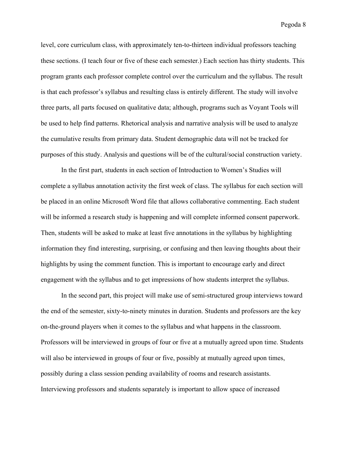level, core curriculum class, with approximately ten-to-thirteen individual professors teaching these sections. (I teach four or five of these each semester.) Each section has thirty students. This program grants each professor complete control over the curriculum and the syllabus. The result is that each professor's syllabus and resulting class is entirely different. The study will involve three parts, all parts focused on qualitative data; although, programs such as Voyant Tools will be used to help find patterns. Rhetorical analysis and narrative analysis will be used to analyze the cumulative results from primary data. Student demographic data will not be tracked for purposes of this study. Analysis and questions will be of the cultural/social construction variety.

In the first part, students in each section of Introduction to Women's Studies will complete a syllabus annotation activity the first week of class. The syllabus for each section will be placed in an online Microsoft Word file that allows collaborative commenting. Each student will be informed a research study is happening and will complete informed consent paperwork. Then, students will be asked to make at least five annotations in the syllabus by highlighting information they find interesting, surprising, or confusing and then leaving thoughts about their highlights by using the comment function. This is important to encourage early and direct engagement with the syllabus and to get impressions of how students interpret the syllabus.

In the second part, this project will make use of semi-structured group interviews toward the end of the semester, sixty-to-ninety minutes in duration. Students and professors are the key on-the-ground players when it comes to the syllabus and what happens in the classroom. Professors will be interviewed in groups of four or five at a mutually agreed upon time. Students will also be interviewed in groups of four or five, possibly at mutually agreed upon times, possibly during a class session pending availability of rooms and research assistants. Interviewing professors and students separately is important to allow space of increased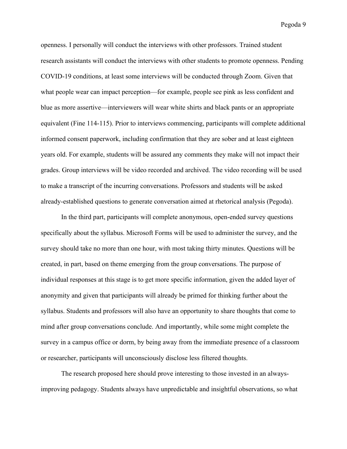openness. I personally will conduct the interviews with other professors. Trained student research assistants will conduct the interviews with other students to promote openness. Pending COVID-19 conditions, at least some interviews will be conducted through Zoom. Given that what people wear can impact perception—for example, people see pink as less confident and blue as more assertive—interviewers will wear white shirts and black pants or an appropriate equivalent (Fine 114-115). Prior to interviews commencing, participants will complete additional informed consent paperwork, including confirmation that they are sober and at least eighteen years old. For example, students will be assured any comments they make will not impact their grades. Group interviews will be video recorded and archived. The video recording will be used to make a transcript of the incurring conversations. Professors and students will be asked already-established questions to generate conversation aimed at rhetorical analysis (Pegoda).

In the third part, participants will complete anonymous, open-ended survey questions specifically about the syllabus. Microsoft Forms will be used to administer the survey, and the survey should take no more than one hour, with most taking thirty minutes. Questions will be created, in part, based on theme emerging from the group conversations. The purpose of individual responses at this stage is to get more specific information, given the added layer of anonymity and given that participants will already be primed for thinking further about the syllabus. Students and professors will also have an opportunity to share thoughts that come to mind after group conversations conclude. And importantly, while some might complete the survey in a campus office or dorm, by being away from the immediate presence of a classroom or researcher, participants will unconsciously disclose less filtered thoughts.

The research proposed here should prove interesting to those invested in an alwaysimproving pedagogy. Students always have unpredictable and insightful observations, so what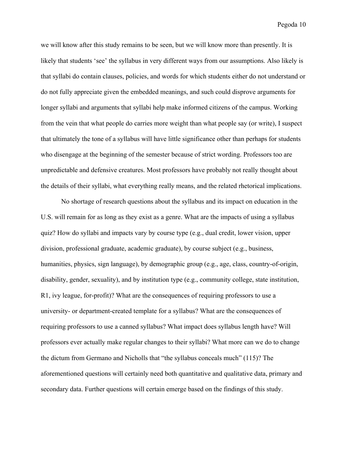we will know after this study remains to be seen, but we will know more than presently. It is likely that students 'see' the syllabus in very different ways from our assumptions. Also likely is that syllabi do contain clauses, policies, and words for which students either do not understand or do not fully appreciate given the embedded meanings, and such could disprove arguments for longer syllabi and arguments that syllabi help make informed citizens of the campus. Working from the vein that what people do carries more weight than what people say (or write), I suspect that ultimately the tone of a syllabus will have little significance other than perhaps for students who disengage at the beginning of the semester because of strict wording. Professors too are unpredictable and defensive creatures. Most professors have probably not really thought about the details of their syllabi, what everything really means, and the related rhetorical implications.

No shortage of research questions about the syllabus and its impact on education in the U.S. will remain for as long as they exist as a genre. What are the impacts of using a syllabus quiz? How do syllabi and impacts vary by course type (e.g., dual credit, lower vision, upper division, professional graduate, academic graduate), by course subject (e.g., business, humanities, physics, sign language), by demographic group (e.g., age, class, country-of-origin, disability, gender, sexuality), and by institution type (e.g., community college, state institution, R1, ivy league, for-profit)? What are the consequences of requiring professors to use a university- or department-created template for a syllabus? What are the consequences of requiring professors to use a canned syllabus? What impact does syllabus length have? Will professors ever actually make regular changes to their syllabi? What more can we do to change the dictum from Germano and Nicholls that "the syllabus conceals much" (115)? The aforementioned questions will certainly need both quantitative and qualitative data, primary and secondary data. Further questions will certain emerge based on the findings of this study.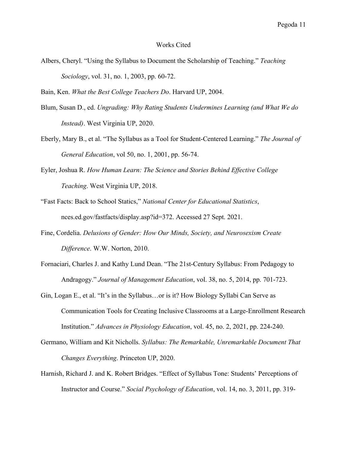## Works Cited

- Albers, Cheryl. "Using the Syllabus to Document the Scholarship of Teaching." *Teaching Sociology*, vol. 31, no. 1, 2003, pp. 60-72.
- Bain, Ken. *What the Best College Teachers Do*. Harvard UP, 2004.
- Blum, Susan D., ed. *Ungrading: Why Rating Students Undermines Learning (and What We do Instead)*. West Virginia UP, 2020.
- Eberly, Mary B., et al. "The Syllabus as a Tool for Student-Centered Learning." *The Journal of General Education*, vol 50, no. 1, 2001, pp. 56-74.
- Eyler, Joshua R. *How Human Learn: The Science and Stories Behind Effective College Teaching*. West Virginia UP, 2018.
- "Fast Facts: Back to School Statics," *National Center for Educational Statistics*, nces.ed.gov/fastfacts/display.asp?id=372. Accessed 27 Sept. 2021.
- Fine, Cordelia. *Delusions of Gender: How Our Minds, Society, and Neurosexism Create Difference*. W.W. Norton, 2010.
- Fornaciari, Charles J. and Kathy Lund Dean. "The 21st-Century Syllabus: From Pedagogy to Andragogy." *Journal of Management Education*, vol. 38, no. 5, 2014, pp. 701-723.
- Gin, Logan E., et al. "It's in the Syllabus…or is it? How Biology Syllabi Can Serve as Communication Tools for Creating Inclusive Classrooms at a Large-Enrollment Research Institution." *Advances in Physiology Education*, vol. 45, no. 2, 2021, pp. 224-240.
- Germano, William and Kit Nicholls. *Syllabus: The Remarkable, Unremarkable Document That Changes Everything*. Princeton UP, 2020.
- Harnish, Richard J. and K. Robert Bridges. "Effect of Syllabus Tone: Students' Perceptions of Instructor and Course." *Social Psychology of Education*, vol. 14, no. 3, 2011, pp. 319-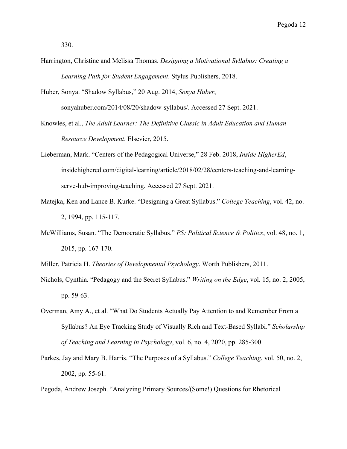- Harrington, Christine and Melissa Thomas. *Designing a Motivational Syllabus: Creating a Learning Path for Student Engagement*. Stylus Publishers, 2018.
- Huber, Sonya. "Shadow Syllabus," 20 Aug. 2014, *Sonya Huber*, sonyahuber.com/2014/08/20/shadow-syllabus/. Accessed 27 Sept. 2021.
- Knowles, et al., *The Adult Learner: The Definitive Classic in Adult Education and Human Resource Development*. Elsevier, 2015.
- Lieberman, Mark. "Centers of the Pedagogical Universe," 28 Feb. 2018, *Inside HigherEd*, insidehighered.com/digital-learning/article/2018/02/28/centers-teaching-and-learningserve-hub-improving-teaching. Accessed 27 Sept. 2021.
- Matejka, Ken and Lance B. Kurke. "Designing a Great Syllabus." *College Teaching*, vol. 42, no. 2, 1994, pp. 115-117.
- McWilliams, Susan. "The Democratic Syllabus." *PS: Political Science & Politics*, vol. 48, no. 1, 2015, pp. 167-170.
- Miller, Patricia H. *Theories of Developmental Psychology*. Worth Publishers, 2011.
- Nichols, Cynthia. "Pedagogy and the Secret Syllabus." *Writing on the Edge*, vol. 15, no. 2, 2005, pp. 59-63.
- Overman, Amy A., et al. "What Do Students Actually Pay Attention to and Remember From a Syllabus? An Eye Tracking Study of Visually Rich and Text-Based Syllabi." *Scholarship of Teaching and Learning in Psychology*, vol. 6, no. 4, 2020, pp. 285-300.
- Parkes, Jay and Mary B. Harris. "The Purposes of a Syllabus." *College Teaching*, vol. 50, no. 2, 2002, pp. 55-61.

Pegoda, Andrew Joseph. "Analyzing Primary Sources/(Some!) Questions for Rhetorical